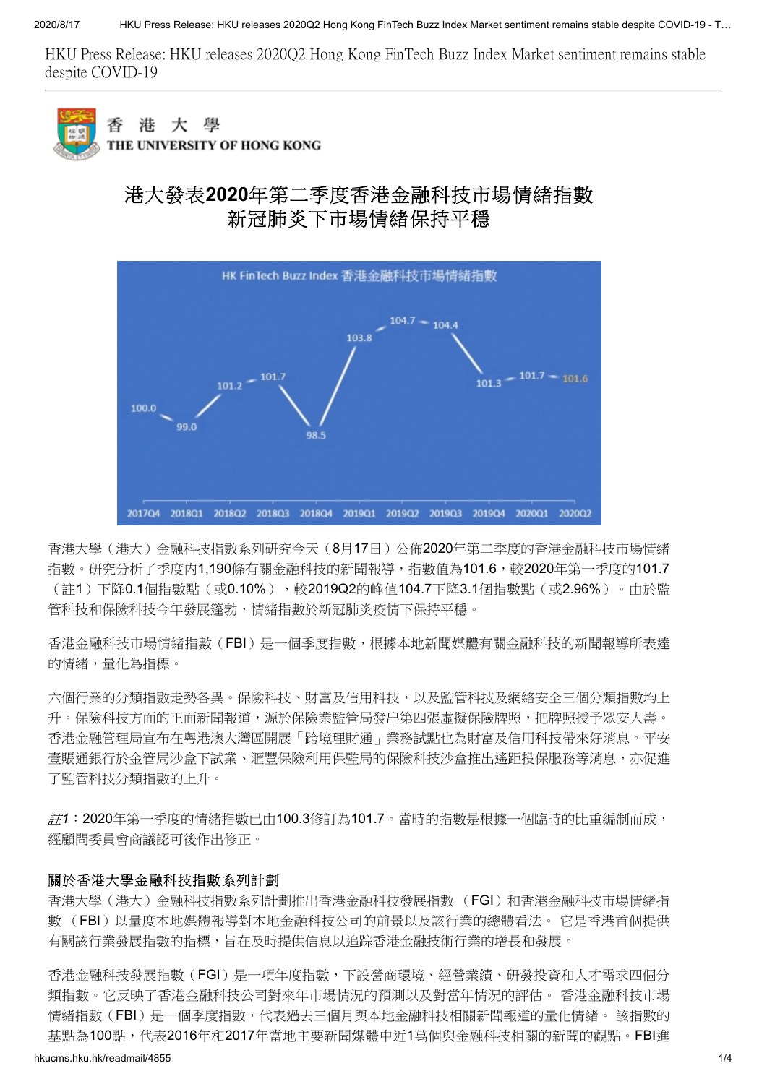HKU Press Release: HKU releases 2020Q2 Hong Kong FinTech Buzz Index Market sentiment remains stable despite COVID-19



大 學 渄 THE UNIVERSITY OF HONG KONG

## 港大發表**2020**年第二季度香港金融科技市場情緒指數 新冠肺炎下市場情緒保持平穩



香港大學(港大)金融科技指數系列研究今天(8月17日)公佈2020年第二季度的香港金融科技市場情緒 指數。研究分析了季度内1,190條有關金融科技的新聞報導,指數值為101.6,較2020年第一季度的101.7 (註1)下降0.1個指數點(或0.10%),較2019Q2的峰值104.7下降3.1個指數點(或2.96%)。由於監 管科技和保險科技今年發展篷勃,情緒指數於新冠肺炎疫情下保持平穩。

香港金融科技市場情緒指數(FBI)是一個季度指數,根據本地新聞媒體有關金融科技的新聞報導所表達 的情緒,量化為指標。

六個行業的分類指數走勢各異。保險科技、財富及信用科技,以及監管科技及網絡安全三個分類指數均上 升。保險科技方面的正面新聞報道,源於保險業監管局發出第四張虛擬保險牌照,把牌照授予眾安人壽。 香港金融管理局宣布在粵港澳大灣區開展「跨境理財通」業務試點也為財富及信用科技帶來好消息。平安 壹賬通銀行於金管局沙盒下試業、滙豐保險利用保監局的保險科技沙盒推出遙距投保服務等消息,亦促進 了監管科技分類指數的上升。

註*1*:2020年第一季度的情緒指數已由100.3修訂為101.7。當時的指數是根據一個臨時的比重編制而成, 經顧問委員會商議認可後作出修正。

#### 關於香港大學金融科技指數系列計劃

香港大學(港大)金融科技指數系列計劃推出香港金融科技發展指數 (FGI)和香港金融科技市場情緒指 數 (FBI)以量度本地媒體報導對本地金融科技公司的前景以及該行業的總體看法。 它是香港首個提供 有關該行業發展指數的指標,旨在及時提供信息以追踪香港金融技術行業的增長和發展。

香港金融科技發展指數(FGI)是一項年度指數,下設營商環境、經營業績、研發投資和人才需求四個分 類指數。它反映了香港金融科技公司對來年市場情況的預測以及對當年情況的評估。 香港金融科技市場 情緒指數(FBI)是一個季度指數,代表過去三個月與本地金融科技相關新聞報道的量化情緒。 該指數的 基點為100點,代表2016年和2017年當地主要新聞媒體中折1萬個與金融科技相關的新聞的觀點。FBI進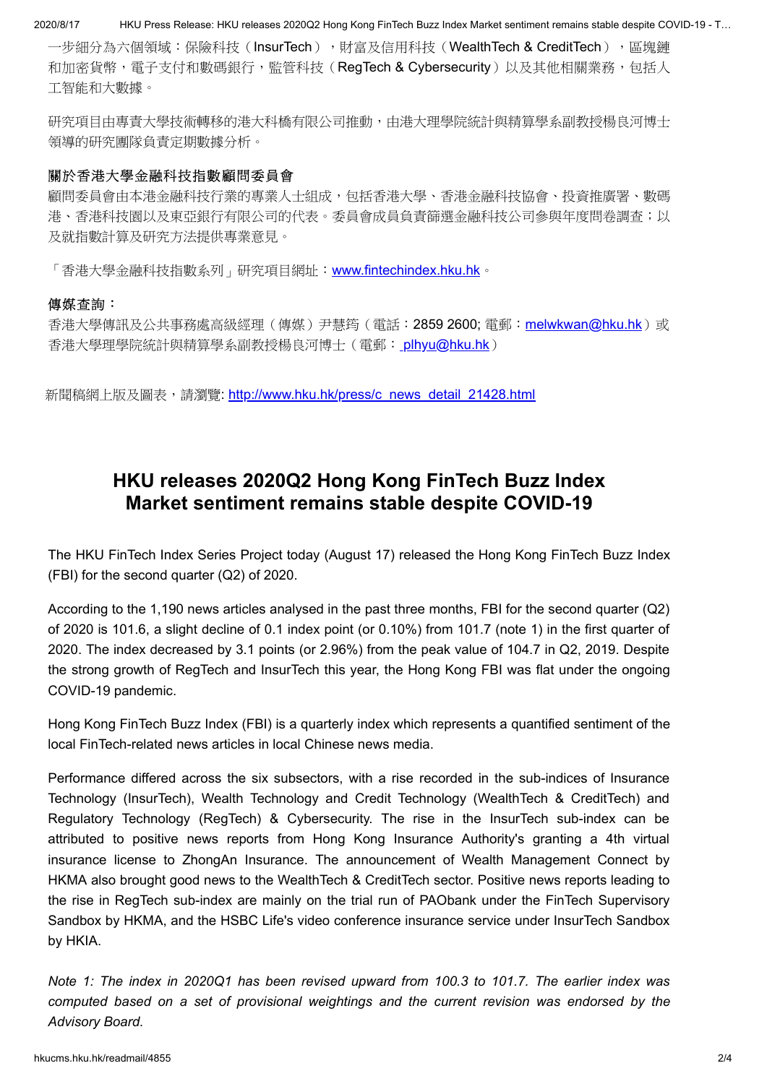2020/8/17 HKU Press Release: HKU releases 2020Q2 Hong Kong FinTech Buzz Index Market sentiment remains stable despite COVID-19 - T…

一步細分為六個領域:保險科技(InsurTech),財富及信用科技(WealthTech & CreditTech),區塊鏈 和加密貨幣,電子支付和數碼銀行,監管科技(RegTech & Cybersecurity)以及其他相關業務,包括人 工智能和大數據。

研究項目由專責大學技術轉移的港大科橋有限公司推動,由港大理學院統計與精算學系副教授楊良河博士 領導的研究團隊負責定期數據分析。

### 關於香港大學金融科技指數顧問委員會

顧問委員會由本港金融科技行業的專業人士組成,包括香港大學、香港金融科技協會、投資推廣署、數碼 港、香港科技園以及東亞銀行有限公司的代表。委員會成員負責篩選金融科技公司參與年度問卷調査;以 及就指數計算及研究方法提供專業意見。

「香港大學金融科技指數系列」研究項目網址: [www.fintechindex.hku.hk](http://www.fintechindex.hku.hk/)。

### 傳媒查詢:

香港大學傳訊及公共事務處高級經理(傳媒)尹慧筠(電話:2859 2600; 電郵:[melwkwan@hku.hk](mailto:melwkwan@hku.hk))或 香港大學理學院統計與精算學系副教授楊良河博士(電郵: phyu@hku.hk)

新聞稿網上版及圖表,請瀏覽: [http://www.hku.hk/press/c\\_news\\_detail\\_21428.html](http://www.hku.hk/press/c_news_detail_21428.html)

# **HKU releases 2020Q2 Hong Kong FinTech Buzz Index Market sentiment remains stable despite COVID-19**

The HKU FinTech Index Series Project today (August 17) released the Hong Kong FinTech Buzz Index (FBI) for the second quarter (Q2) of 2020.

According to the 1,190 news articles analysed in the past three months, FBI for the second quarter (Q2) of 2020 is 101.6, a slight decline of 0.1 index point (or 0.10%) from 101.7 (note 1) in the first quarter of 2020. The index decreased by 3.1 points (or 2.96%) from the peak value of 104.7 in Q2, 2019. Despite the strong growth of RegTech and InsurTech this year, the Hong Kong FBI was flat under the ongoing COVID-19 pandemic.

Hong Kong FinTech Buzz Index (FBI) is a quarterly index which represents a quantified sentiment of the local FinTech-related news articles in local Chinese news media.

Performance differed across the six subsectors, with a rise recorded in the sub-indices of Insurance Technology (InsurTech), Wealth Technology and Credit Technology (WealthTech & CreditTech) and Regulatory Technology (RegTech) & Cybersecurity. The rise in the InsurTech sub-index can be attributed to positive news reports from Hong Kong Insurance Authority's granting a 4th virtual insurance license to ZhongAn Insurance. The announcement of Wealth Management Connect by HKMA also brought good news to the WealthTech & CreditTech sector. Positive news reports leading to the rise in RegTech sub-index are mainly on the trial run of PAObank under the FinTech Supervisory Sandbox by HKMA, and the HSBC Life's video conference insurance service under InsurTech Sandbox by HKIA.

*Note 1: The index in 2020Q1 has been revised upward from 100.3 to 101.7. The earlier index was computed based on a set of provisional weightings and the current revision was endorsed by the Advisory Board.*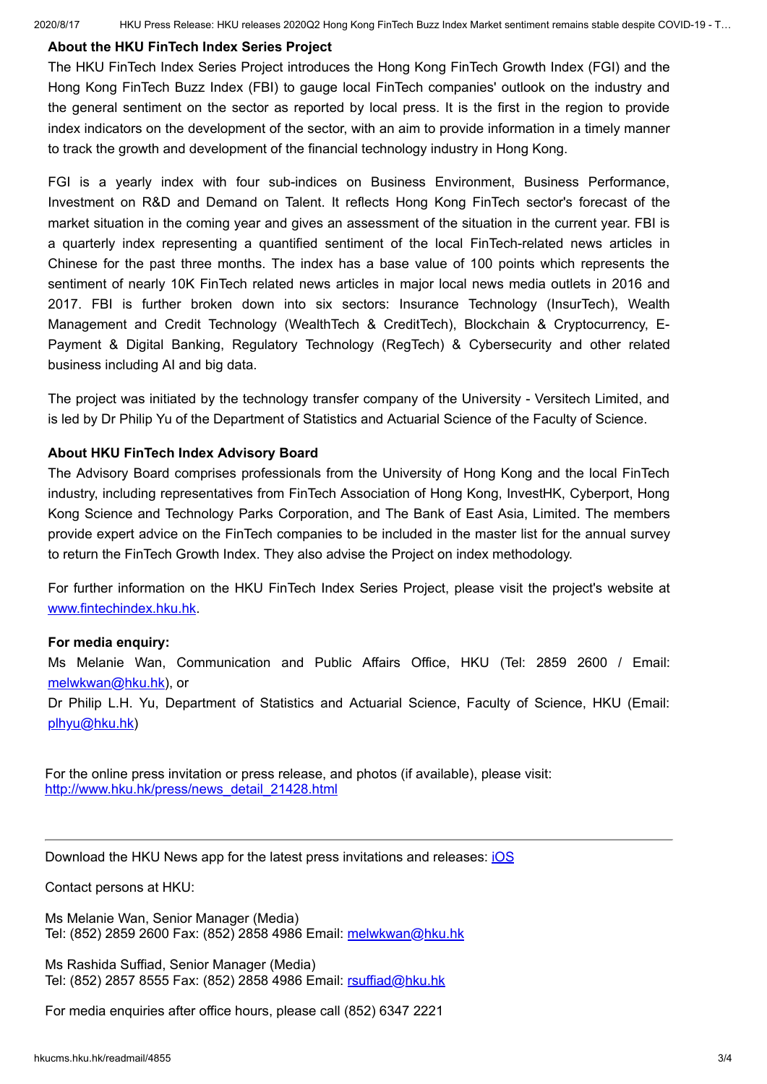### **About the HKU FinTech Index Series Project**

The HKU FinTech Index Series Project introduces the Hong Kong FinTech Growth Index (FGI) and the Hong Kong FinTech Buzz Index (FBI) to gauge local FinTech companies' outlook on the industry and the general sentiment on the sector as reported by local press. It is the first in the region to provide index indicators on the development of the sector, with an aim to provide information in a timely manner to track the growth and development of the financial technology industry in Hong Kong.

FGI is a yearly index with four sub-indices on Business Environment, Business Performance, Investment on R&D and Demand on Talent. It reflects Hong Kong FinTech sector's forecast of the market situation in the coming year and gives an assessment of the situation in the current year. FBI is a quarterly index representing a quantified sentiment of the local FinTech-related news articles in Chinese for the past three months. The index has a base value of 100 points which represents the sentiment of nearly 10K FinTech related news articles in major local news media outlets in 2016 and 2017. FBI is further broken down into six sectors: Insurance Technology (InsurTech), Wealth Management and Credit Technology (WealthTech & CreditTech), Blockchain & Cryptocurrency, E-Payment & Digital Banking, Regulatory Technology (RegTech) & Cybersecurity and other related business including AI and big data.

The project was initiated by the technology transfer company of the University - Versitech Limited, and is led by Dr Philip Yu of the Department of Statistics and Actuarial Science of the Faculty of Science.

### **About HKU FinTech Index Advisory Board**

The Advisory Board comprises professionals from the University of Hong Kong and the local FinTech industry, including representatives from FinTech Association of Hong Kong, InvestHK, Cyberport, Hong Kong Science and Technology Parks Corporation, and The Bank of East Asia, Limited. The members provide expert advice on the FinTech companies to be included in the master list for the annual survey to return the FinTech Growth Index. They also advise the Project on index methodology.

For further information on the HKU FinTech Index Series Project, please visit the project's website at [www.fintechindex.hku.hk](http://www.fintechindex.hku.hk/).

### **For media enquiry:**

Ms Melanie Wan, Communication and Public Affairs Office, HKU (Tel: 2859 2600 / Email: [melwkwan@hku.hk\)](mailto:melwkwan@hku.hk), or

Dr Philip L.H. Yu, Department of Statistics and Actuarial Science, Faculty of Science, HKU (Email: [plhyu@hku.hk\)](mailto:plhyu@hku.hk)

For the online press invitation or press release, and photos (if available), please visit: [http://www.hku.hk/press/news\\_detail\\_21428.html](http://www.hku.hk/press/news_detail_21428.html)

Download the HKU News app for the latest press invitations and releases: [iOS](https://itunes.apple.com/hk/app/hku-news/id581455414?lh=en)

Contact persons at HKU:

Ms Melanie Wan, Senior Manager (Media) Tel: (852) 2859 2600 Fax: (852) 2858 4986 Email: [melwkwan@hku.hk](mailto:melwkwan@hku.hk)

Ms Rashida Suffiad, Senior Manager (Media) Tel: (852) 2857 8555 Fax: (852) 2858 4986 Email: [rsuffiad@hku.hk](mailto:rsuffiad@hku.hk)

For media enquiries after office hours, please call (852) 6347 2221